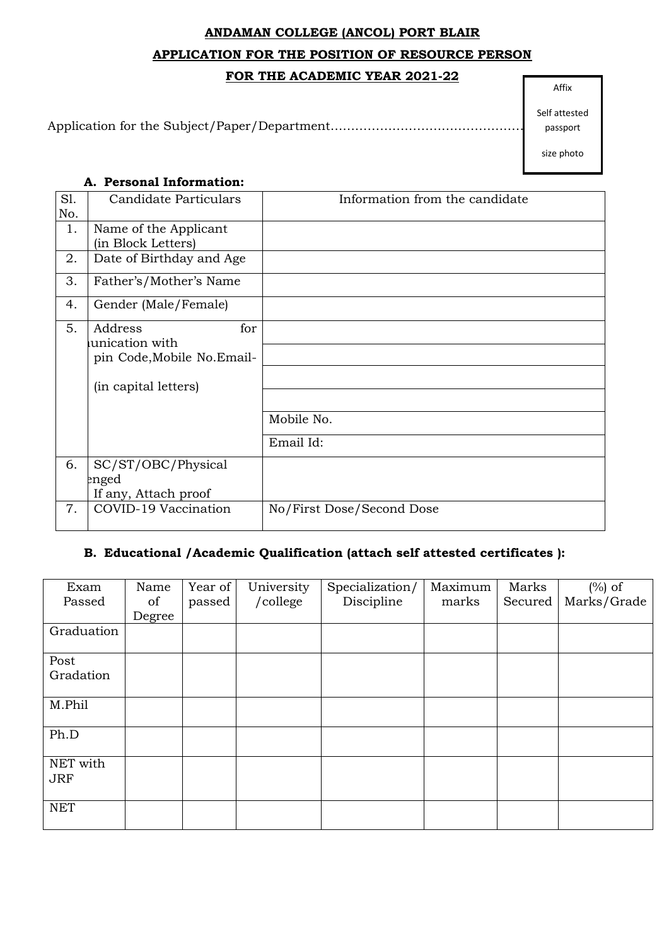# **ANDAMAN COLLEGE (ANCOL) PORT BLAIR APPLICATION FOR THE POSITION OF RESOURCE PERSON**

#### **FOR THE ACADEMIC YEAR 2021-22**

Application for the Subject/Paper/Department…………………………………………………..

Self attested passport

size photo

#### **A. Personal Information:**

| Sl. | Candidate Particulars                         | Information from the candidate |
|-----|-----------------------------------------------|--------------------------------|
| No. |                                               |                                |
| 1.  | Name of the Applicant                         |                                |
|     | (in Block Letters)                            |                                |
| 2.  | Date of Birthday and Age                      |                                |
| 3.  | Father's/Mother's Name                        |                                |
| 4.  | Gender (Male/Female)                          |                                |
| 5.  | for<br>Address                                |                                |
|     | unication with<br>pin Code, Mobile No. Email- |                                |
|     | (in capital letters)                          |                                |
|     |                                               |                                |
|     |                                               | Mobile No.                     |
|     |                                               | Email Id:                      |
| 6.  | SC/ST/OBC/Physical                            |                                |
|     | enged                                         |                                |
|     | If any, Attach proof                          |                                |
| 7.  | COVID-19 Vaccination                          | No/First Dose/Second Dose      |
|     |                                               |                                |

## **B. Educational /Academic Qualification (attach self attested certificates ):**

| Exam                   | Name   | Year of | University | Specialization/ | Maximum | Marks   | $(\%)$ of   |
|------------------------|--------|---------|------------|-----------------|---------|---------|-------------|
| Passed                 | of     | passed  | /college   | Discipline      | marks   | Secured | Marks/Grade |
|                        | Degree |         |            |                 |         |         |             |
| Graduation             |        |         |            |                 |         |         |             |
| Post                   |        |         |            |                 |         |         |             |
| Gradation              |        |         |            |                 |         |         |             |
| M.Phil                 |        |         |            |                 |         |         |             |
| Ph.D                   |        |         |            |                 |         |         |             |
| NET with<br><b>JRF</b> |        |         |            |                 |         |         |             |
| <b>NET</b>             |        |         |            |                 |         |         |             |

Affix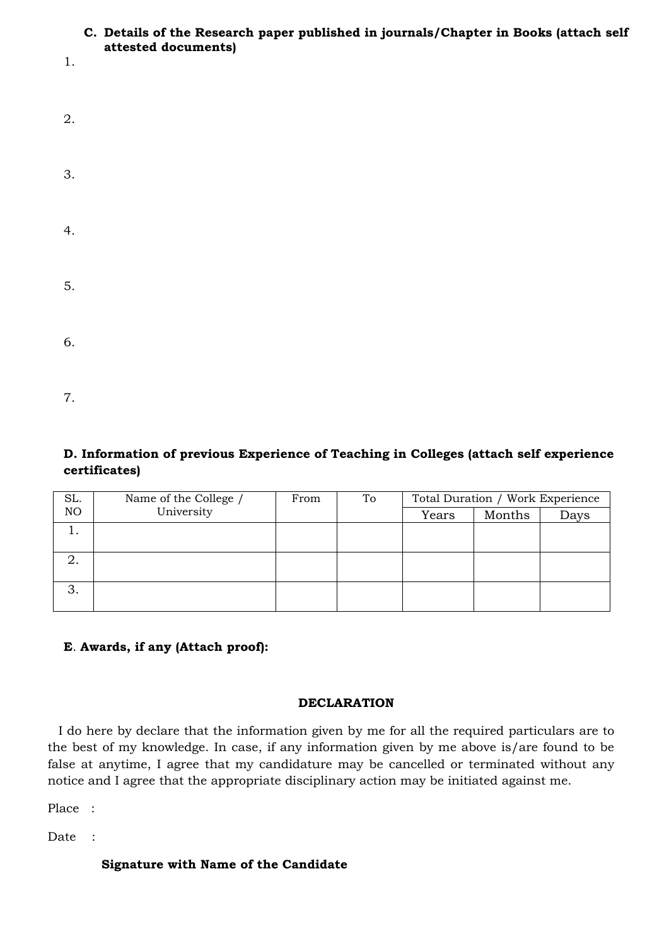#### **C. Details of the Research paper published in journals/Chapter in Books (attach self attested documents)**

1.

| 2. |  |  |  |
|----|--|--|--|
| 3. |  |  |  |
| 4. |  |  |  |
| 5. |  |  |  |
| 6. |  |  |  |
| 7. |  |  |  |

## **D. Information of previous Experience of Teaching in Colleges (attach self experience certificates)**

| SL.            | Name of the College / | From | To | Total Duration / Work Experience |        |      |
|----------------|-----------------------|------|----|----------------------------------|--------|------|
| N <sub>O</sub> | University            |      |    | Years                            | Months | Days |
|                |                       |      |    |                                  |        |      |
|                |                       |      |    |                                  |        |      |
|                |                       |      |    |                                  |        |      |
|                |                       |      |    |                                  |        |      |
| ◠<br>J.        |                       |      |    |                                  |        |      |
|                |                       |      |    |                                  |        |      |

## **E**. **Awards, if any (Attach proof):**

### **DECLARATION**

I do here by declare that the information given by me for all the required particulars are to the best of my knowledge. In case, if any information given by me above is/are found to be false at anytime, I agree that my candidature may be cancelled or terminated without any notice and I agree that the appropriate disciplinary action may be initiated against me.

Place :

Date :

## **Signature with Name of the Candidate**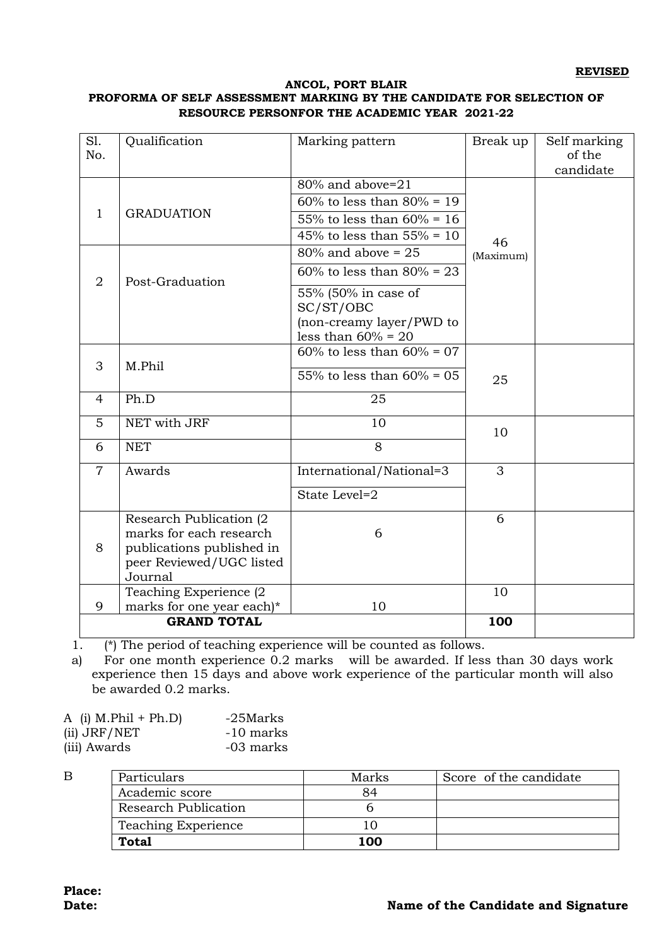#### **ANCOL, PORT BLAIR PROFORMA OF SELF ASSESSMENT MARKING BY THE CANDIDATE FOR SELECTION OF RESOURCE PERSONFOR THE ACADEMIC YEAR 2021-22**

| S1.<br>No.     | Qualification                                         | Marking pattern                                   | Break up  | Self marking<br>of the<br>candidate |
|----------------|-------------------------------------------------------|---------------------------------------------------|-----------|-------------------------------------|
|                |                                                       | 80% and above=21                                  |           |                                     |
|                |                                                       | $60\%$ to less than $80\% = 19$                   |           |                                     |
| $\mathbf{1}$   | <b>GRADUATION</b>                                     | 55% to less than $60\% = 16$                      |           |                                     |
|                |                                                       | 45% to less than $55% = 10$                       | 46        |                                     |
|                |                                                       | $80\%$ and above = 25                             | (Maximum) |                                     |
| $\overline{2}$ | Post-Graduation                                       | $60\%$ to less than $80\% = 23$                   |           |                                     |
|                |                                                       | 55% (50% in case of<br>SC/ST/OBC                  |           |                                     |
|                |                                                       | (non-creamy layer/PWD to<br>less than $60\% = 20$ |           |                                     |
|                |                                                       | $60\%$ to less than $60\% = 07$                   |           |                                     |
| 3              | M.Phil                                                |                                                   |           |                                     |
|                |                                                       | 55% to less than $60\% = 05$                      | 25        |                                     |
| 4              | Ph.D                                                  | 25                                                |           |                                     |
| 5              | NET with JRF                                          | 10                                                | 10        |                                     |
| 6              | <b>NET</b>                                            | 8                                                 |           |                                     |
| $\overline{7}$ | Awards                                                | International/National=3                          | 3         |                                     |
|                |                                                       | State Level=2                                     |           |                                     |
|                | Research Publication (2)                              |                                                   | 6         |                                     |
|                | marks for each research                               | 6                                                 |           |                                     |
| 8              | publications published in<br>peer Reviewed/UGC listed |                                                   |           |                                     |
|                | Journal                                               |                                                   |           |                                     |
|                | Teaching Experience (2                                |                                                   | 10        |                                     |
| 9              | marks for one year each)*                             | 10                                                |           |                                     |
|                | <b>GRAND TOTAL</b>                                    |                                                   | 100       |                                     |

1. (\*) The period of teaching experience will be counted as follows.

a) For one month experience 0.2 marks will be awarded. If less than 30 days work experience then 15 days and above work experience of the particular month will also be awarded 0.2 marks.

| A (i) $M.Phi1 + Ph.D$ | -25Marks  |
|-----------------------|-----------|
| (ii) JRF/NET          | -10 marks |
| (iii) Awards          | -03 marks |

B

| Particulars          | Marks | Score of the candidate |
|----------------------|-------|------------------------|
| Academic score       | 84    |                        |
| Research Publication |       |                        |
| Teaching Experience  |       |                        |
| <b>Total</b>         | 100   |                        |